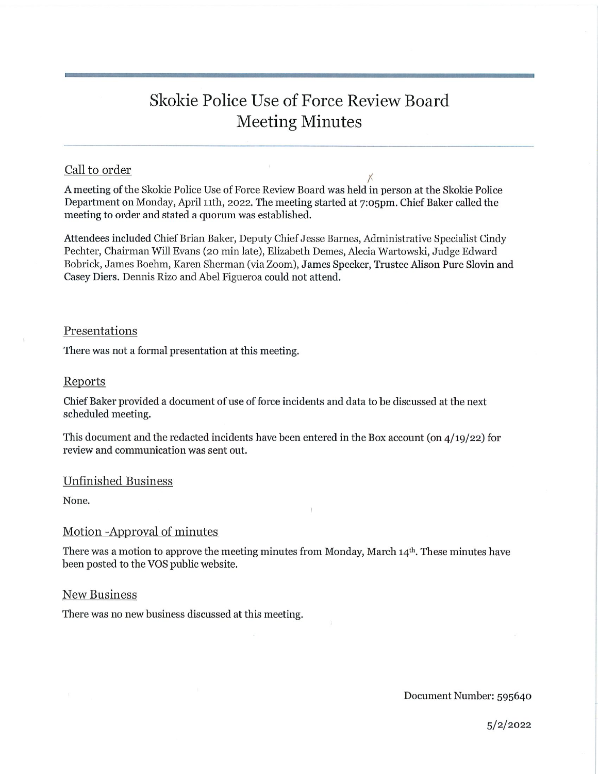# Skokie Police Use of Force Review Board Meeting Minutes

## Call to order

X A meeting of the Skokie Police Use of Force Review Board was held in person at the Skokie Police Department on Monday, April lith, 2022. The meeting started at 7:05pm. Chief Baker called the meeting to order and stated a quorum was established.

Attendees included Chief Brian Baker, Deputy Chief Jesse Barnes, Administrative Specialist Cindy Pechter, Chairman Will Evans (20 min late), Elizabeth Demes, Alecia Wartowsld, Judge Edward Bobrick, James Boehm, Karen Sherman (via Zoom), James Speaker, Trustee Alison Pure Slovin and Casey Diers. Dennis Rizo and Abel Figueroa could not attend.

#### Presentations

There was not a formal presentation at this meeting.

#### Reports

Chief Baker provided a document of use of force incidents and data to be discussed at the next scheduled meeting.

This document and the redacted incidents have been entered in the Box account (on 4/19/22) for review and communication was sent out.

## Unfinished Business

None.

## Motion -Approval of minutes

There was a motion to approve the meeting minutes from Monday, March  $14<sup>th</sup>$ . These minutes have been posted to the VOS public website.

#### New Business

There was no new business discussed at this meeting.

Document Number: 595640

5/2/2022